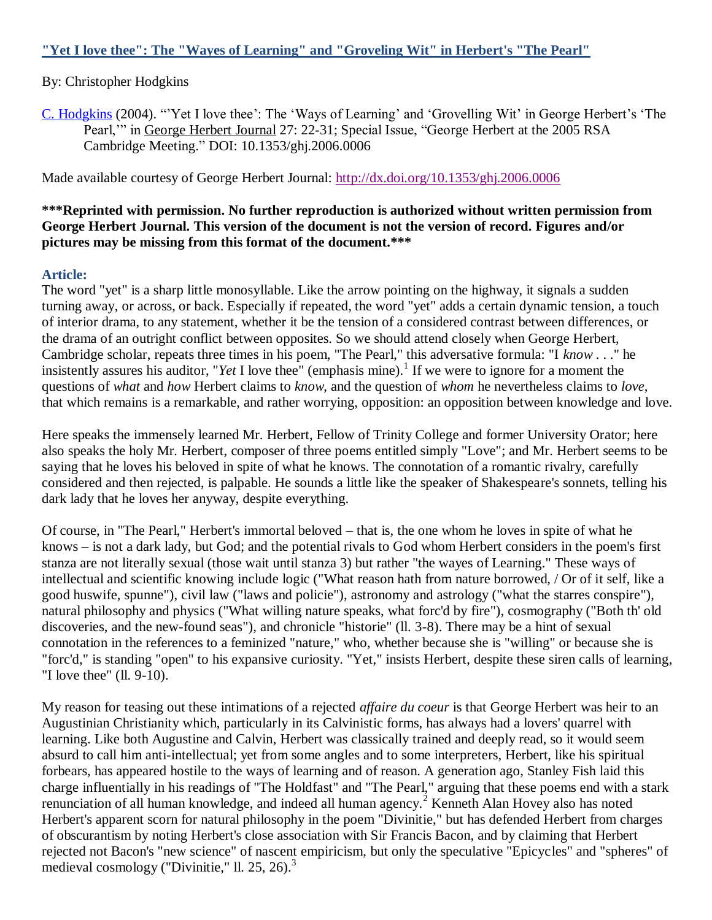# **"Yet I love thee": The "Wayes of Learning" and "Groveling Wit" in Herbert's "The Pearl"**

# By: Christopher Hodgkins

[C. Hodgkins](http://libres.uncg.edu/ir/uncg/clist.aspx?id=593) (2004). "'Yet I love thee': The 'Ways of Learning' and 'Grovelling Wit' in George Herbert's 'The Pearl," in George Herbert Journal 27: 22-31; Special Issue, "George Herbert at the 2005 RSA Cambridge Meeting." DOI: 10.1353/ghj.2006.0006

Made available courtesy of George Herbert Journal:<http://dx.doi.org/10.1353/ghj.2006.0006>

# **\*\*\*Reprinted with permission. No further reproduction is authorized without written permission from George Herbert Journal. This version of the document is not the version of record. Figures and/or pictures may be missing from this format of the document.\*\*\***

#### **Article:**

The word "yet" is a sharp little monosyllable. Like the arrow pointing on the highway, it signals a sudden turning away, or across, or back. Especially if repeated, the word "yet" adds a certain dynamic tension, a touch of interior drama, to any statement, whether it be the tension of a considered contrast between differences, or the drama of an outright conflict between opposites. So we should attend closely when George Herbert, Cambridge scholar, repeats three times in his poem, "The Pearl," this adversative formula: "I *know* . . ." he insistently assures his auditor, "*Yet* I love thee" (emphasis mine).<sup>1</sup> If we were to ignore for a moment the questions of *what* and *how* Herbert claims to *know*, and the question of *whom* he nevertheless claims to *love*, that which remains is a remarkable, and rather worrying, opposition: an opposition between knowledge and love.

Here speaks the immensely learned Mr. Herbert, Fellow of Trinity College and former University Orator; here also speaks the holy Mr. Herbert, composer of three poems entitled simply "Love"; and Mr. Herbert seems to be saying that he loves his beloved in spite of what he knows. The connotation of a romantic rivalry, carefully considered and then rejected, is palpable. He sounds a little like the speaker of Shakespeare's sonnets, telling his dark lady that he loves her anyway, despite everything.

Of course, in "The Pearl," Herbert's immortal beloved – that is, the one whom he loves in spite of what he knows – is not a dark lady, but God; and the potential rivals to God whom Herbert considers in the poem's first stanza are not literally sexual (those wait until stanza 3) but rather "the wayes of Learning." These ways of intellectual and scientific knowing include logic ("What reason hath from nature borrowed, / Or of it self, like a good huswife, spunne"), civil law ("laws and policie"), astronomy and astrology ("what the starres conspire"), natural philosophy and physics ("What willing nature speaks, what forc'd by fire"), cosmography ("Both th' old discoveries, and the new-found seas"), and chronicle "historie" (ll. 3-8). There may be a hint of sexual connotation in the references to a feminized "nature," who, whether because she is "willing" or because she is "forc'd," is standing "open" to his expansive curiosity. "Yet," insists Herbert, despite these siren calls of learning, "I love thee" (ll. 9-10).

My reason for teasing out these intimations of a rejected *affaire du coeur* is that George Herbert was heir to an Augustinian Christianity which, particularly in its Calvinistic forms, has always had a lovers' quarrel with learning. Like both Augustine and Calvin, Herbert was classically trained and deeply read, so it would seem absurd to call him anti-intellectual; yet from some angles and to some interpreters, Herbert, like his spiritual forbears, has appeared hostile to the ways of learning and of reason. A generation ago, Stanley Fish laid this charge influentially in his readings of "The Holdfast" and "The Pearl," arguing that these poems end with a stark renunciation of all human knowledge, and indeed all human agency.<sup>2</sup> Kenneth Alan Hovey also has noted Herbert's apparent scorn for natural philosophy in the poem "Divinitie," but has defended Herbert from charges of obscurantism by noting Herbert's close association with Sir Francis Bacon, and by claiming that Herbert rejected not Bacon's "new science" of nascent empiricism, but only the speculative "Epicycles" and "spheres" of medieval cosmology ("Divinitie," ll. 25, 26).<sup>3</sup>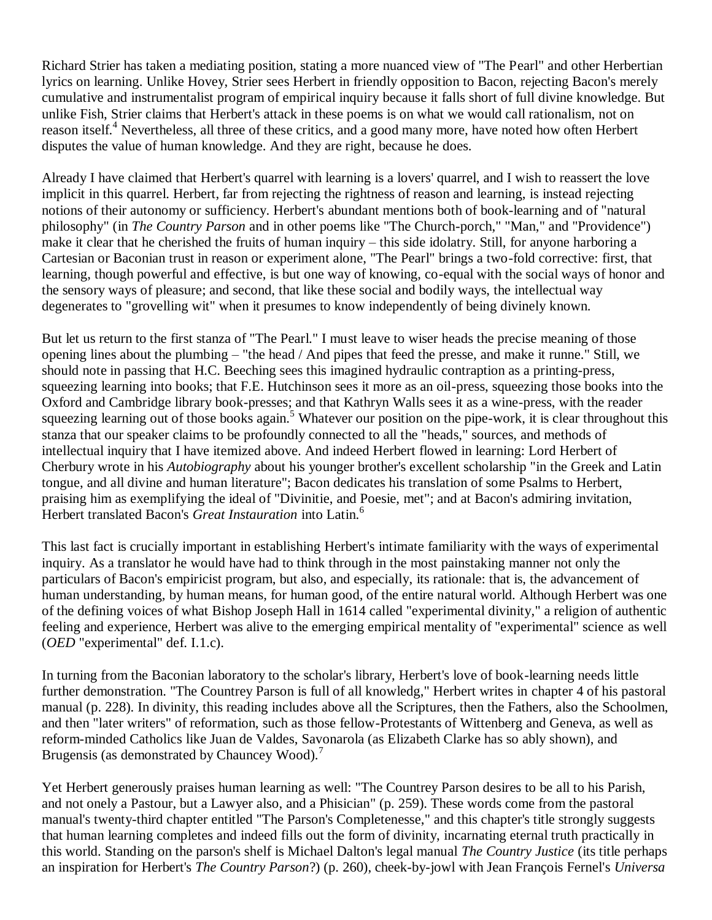Richard Strier has taken a mediating position, stating a more nuanced view of "The Pearl" and other Herbertian lyrics on learning. Unlike Hovey, Strier sees Herbert in friendly opposition to Bacon, rejecting Bacon's merely cumulative and instrumentalist program of empirical inquiry because it falls short of full divine knowledge. But unlike Fish, Strier claims that Herbert's attack in these poems is on what we would call rationalism, not on reason itself.<sup>4</sup> Nevertheless, all three of these critics, and a good many more, have noted how often Herbert disputes the value of human knowledge. And they are right, because he does.

Already I have claimed that Herbert's quarrel with learning is a lovers' quarrel, and I wish to reassert the love implicit in this quarrel. Herbert, far from rejecting the rightness of reason and learning, is instead rejecting notions of their autonomy or sufficiency. Herbert's abundant mentions both of book-learning and of "natural philosophy" (in *The Country Parson* and in other poems like "The Church-porch," "Man," and "Providence") make it clear that he cherished the fruits of human inquiry – this side idolatry. Still, for anyone harboring a Cartesian or Baconian trust in reason or experiment alone, "The Pearl" brings a two-fold corrective: first, that learning, though powerful and effective, is but one way of knowing, co-equal with the social ways of honor and the sensory ways of pleasure; and second, that like these social and bodily ways, the intellectual way degenerates to "grovelling wit" when it presumes to know independently of being divinely known.

But let us return to the first stanza of "The Pearl." I must leave to wiser heads the precise meaning of those opening lines about the plumbing – "the head / And pipes that feed the presse, and make it runne." Still, we should note in passing that H.C. Beeching sees this imagined hydraulic contraption as a printing-press, squeezing learning into books; that F.E. Hutchinson sees it more as an oil-press, squeezing those books into the Oxford and Cambridge library book-presses; and that Kathryn Walls sees it as a wine-press, with the reader squeezing learning out of those books again.<sup>5</sup> Whatever our position on the pipe-work, it is clear throughout this stanza that our speaker claims to be profoundly connected to all the "heads," sources, and methods of intellectual inquiry that I have itemized above. And indeed Herbert flowed in learning: Lord Herbert of Cherbury wrote in his *Autobiography* about his younger brother's excellent scholarship "in the Greek and Latin tongue, and all divine and human literature"; Bacon dedicates his translation of some Psalms to Herbert, praising him as exemplifying the ideal of "Divinitie, and Poesie, met"; and at Bacon's admiring invitation, Herbert translated Bacon's *Great Instauration* into Latin.<sup>6</sup>

This last fact is crucially important in establishing Herbert's intimate familiarity with the ways of experimental inquiry. As a translator he would have had to think through in the most painstaking manner not only the particulars of Bacon's empiricist program, but also, and especially, its rationale: that is, the advancement of human understanding, by human means, for human good, of the entire natural world. Although Herbert was one of the defining voices of what Bishop Joseph Hall in 1614 called "experimental divinity," a religion of authentic feeling and experience, Herbert was alive to the emerging empirical mentality of "experimental" science as well (*OED* "experimental" def. I.1.c).

In turning from the Baconian laboratory to the scholar's library, Herbert's love of book-learning needs little further demonstration. "The Countrey Parson is full of all knowledg," Herbert writes in chapter 4 of his pastoral manual (p. 228). In divinity, this reading includes above all the Scriptures, then the Fathers, also the Schoolmen, and then "later writers" of reformation, such as those fellow-Protestants of Wittenberg and Geneva, as well as reform-minded Catholics like Juan de Valdes, Savonarola (as Elizabeth Clarke has so ably shown), and Brugensis (as demonstrated by Chauncey Wood).<sup>7</sup>

Yet Herbert generously praises human learning as well: "The Countrey Parson desires to be all to his Parish, and not onely a Pastour, but a Lawyer also, and a Phisician" (p. 259). These words come from the pastoral manual's twenty-third chapter entitled "The Parson's Completenesse," and this chapter's title strongly suggests that human learning completes and indeed fills out the form of divinity, incarnating eternal truth practically in this world. Standing on the parson's shelf is Michael Dalton's legal manual *The Country Justice* (its title perhaps an inspiration for Herbert's *The Country Parson*?) (p. 260), cheek-by-jowl with Jean François Fernel's *Universa*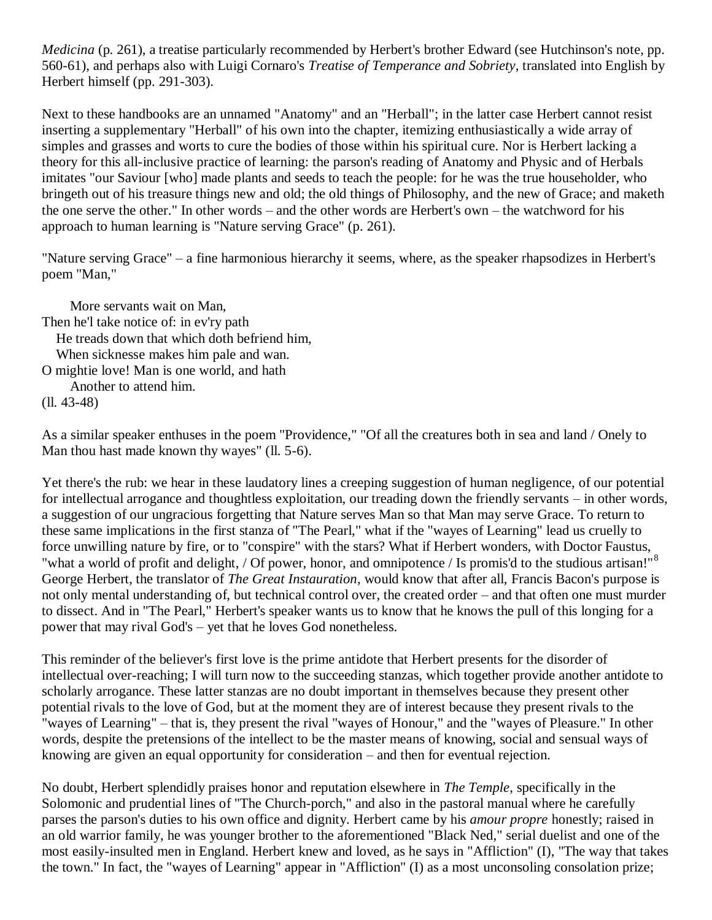*Medicina* (p. 261), a treatise particularly recommended by Herbert's brother Edward (see Hutchinson's note, pp. 560-61), and perhaps also with Luigi Cornaro's *Treatise of Temperance and Sobriety*, translated into English by Herbert himself (pp. 291-303).

Next to these handbooks are an unnamed "Anatomy" and an "Herball"; in the latter case Herbert cannot resist inserting a supplementary "Herball" of his own into the chapter, itemizing enthusiastically a wide array of simples and grasses and worts to cure the bodies of those within his spiritual cure. Nor is Herbert lacking a theory for this all-inclusive practice of learning: the parson's reading of Anatomy and Physic and of Herbals imitates "our Saviour [who] made plants and seeds to teach the people: for he was the true householder, who bringeth out of his treasure things new and old; the old things of Philosophy, and the new of Grace; and maketh the one serve the other." In other words – and the other words are Herbert's own – the watchword for his approach to human learning is "Nature serving Grace" (p. 261).

"Nature serving Grace" – a fine harmonious hierarchy it seems, where, as the speaker rhapsodizes in Herbert's poem "Man,"

More servants wait on Man, Then he'l take notice of: in ev'ry path He treads down that which doth befriend him, When sicknesse makes him pale and wan. O mightie love! Man is one world, and hath Another to attend him.

(ll. 43-48)

As a similar speaker enthuses in the poem "Providence," "Of all the creatures both in sea and land / Onely to Man thou hast made known thy wayes" (ll. 5-6).

Yet there's the rub: we hear in these laudatory lines a creeping suggestion of human negligence, of our potential for intellectual arrogance and thoughtless exploitation, our treading down the friendly servants – in other words, a suggestion of our ungracious forgetting that Nature serves Man so that Man may serve Grace. To return to these same implications in the first stanza of "The Pearl," what if the "wayes of Learning" lead us cruelly to force unwilling nature by fire, or to "conspire" with the stars? What if Herbert wonders, with Doctor Faustus, "what a world of profit and delight, / Of power, honor, and omnipotence / Is promis'd to the studious artisan!"<sup>8</sup> George Herbert, the translator of *The Great Instauration*, would know that after all, Francis Bacon's purpose is not only mental understanding of, but technical control over, the created order – and that often one must murder to dissect. And in "The Pearl," Herbert's speaker wants us to know that he knows the pull of this longing for a power that may rival God's – yet that he loves God nonetheless.

This reminder of the believer's first love is the prime antidote that Herbert presents for the disorder of intellectual over-reaching; I will turn now to the succeeding stanzas, which together provide another antidote to scholarly arrogance. These latter stanzas are no doubt important in themselves because they present other potential rivals to the love of God, but at the moment they are of interest because they present rivals to the "wayes of Learning" – that is, they present the rival "wayes of Honour," and the "wayes of Pleasure." In other words, despite the pretensions of the intellect to be the master means of knowing, social and sensual ways of knowing are given an equal opportunity for consideration – and then for eventual rejection.

No doubt, Herbert splendidly praises honor and reputation elsewhere in *The Temple*, specifically in the Solomonic and prudential lines of "The Church-porch," and also in the pastoral manual where he carefully parses the parson's duties to his own office and dignity. Herbert came by his *amour propre* honestly; raised in an old warrior family, he was younger brother to the aforementioned "Black Ned," serial duelist and one of the most easily-insulted men in England. Herbert knew and loved, as he says in "Affliction" (I), "The way that takes the town." In fact, the "wayes of Learning" appear in "Affliction" (I) as a most unconsoling consolation prize;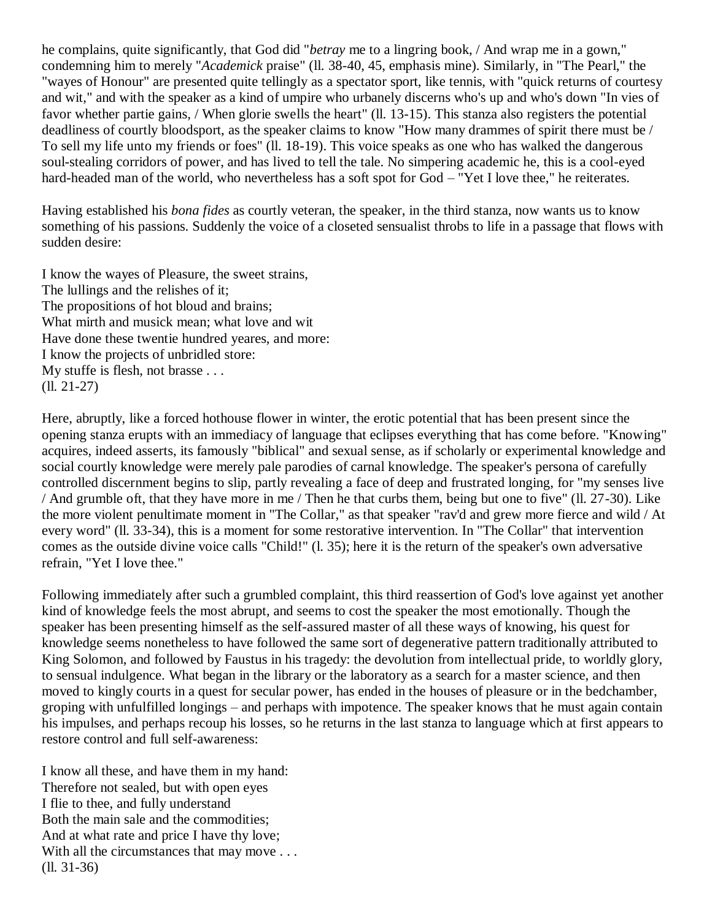he complains, quite significantly, that God did "*betray* me to a lingring book, / And wrap me in a gown," condemning him to merely "*Academick* praise" (ll. 38-40, 45, emphasis mine). Similarly, in "The Pearl," the "wayes of Honour" are presented quite tellingly as a spectator sport, like tennis, with "quick returns of courtesy and wit," and with the speaker as a kind of umpire who urbanely discerns who's up and who's down "In vies of favor whether partie gains, / When glorie swells the heart" (ll. 13-15). This stanza also registers the potential deadliness of courtly bloodsport, as the speaker claims to know "How many drammes of spirit there must be / To sell my life unto my friends or foes" (ll. 18-19). This voice speaks as one who has walked the dangerous soul-stealing corridors of power, and has lived to tell the tale. No simpering academic he, this is a cool-eyed hard-headed man of the world, who nevertheless has a soft spot for God – "Yet I love thee," he reiterates.

Having established his *bona fides* as courtly veteran, the speaker, in the third stanza, now wants us to know something of his passions. Suddenly the voice of a closeted sensualist throbs to life in a passage that flows with sudden desire:

I know the wayes of Pleasure, the sweet strains, The lullings and the relishes of it; The propositions of hot bloud and brains; What mirth and musick mean; what love and wit Have done these twentie hundred yeares, and more: I know the projects of unbridled store: My stuffe is flesh, not brasse . . . (ll. 21-27)

Here, abruptly, like a forced hothouse flower in winter, the erotic potential that has been present since the opening stanza erupts with an immediacy of language that eclipses everything that has come before. "Knowing" acquires, indeed asserts, its famously "biblical" and sexual sense, as if scholarly or experimental knowledge and social courtly knowledge were merely pale parodies of carnal knowledge. The speaker's persona of carefully controlled discernment begins to slip, partly revealing a face of deep and frustrated longing, for "my senses live / And grumble oft, that they have more in me / Then he that curbs them, being but one to five" (ll. 27-30). Like the more violent penultimate moment in "The Collar," as that speaker "rav'd and grew more fierce and wild / At every word" (ll. 33-34), this is a moment for some restorative intervention. In "The Collar" that intervention comes as the outside divine voice calls "Child!" (l. 35); here it is the return of the speaker's own adversative refrain, "Yet I love thee."

Following immediately after such a grumbled complaint, this third reassertion of God's love against yet another kind of knowledge feels the most abrupt, and seems to cost the speaker the most emotionally. Though the speaker has been presenting himself as the self-assured master of all these ways of knowing, his quest for knowledge seems nonetheless to have followed the same sort of degenerative pattern traditionally attributed to King Solomon, and followed by Faustus in his tragedy: the devolution from intellectual pride, to worldly glory, to sensual indulgence. What began in the library or the laboratory as a search for a master science, and then moved to kingly courts in a quest for secular power, has ended in the houses of pleasure or in the bedchamber, groping with unfulfilled longings – and perhaps with impotence. The speaker knows that he must again contain his impulses, and perhaps recoup his losses, so he returns in the last stanza to language which at first appears to restore control and full self-awareness:

I know all these, and have them in my hand: Therefore not sealed, but with open eyes I flie to thee, and fully understand Both the main sale and the commodities; And at what rate and price I have thy love; With all the circumstances that may move . . . (ll. 31-36)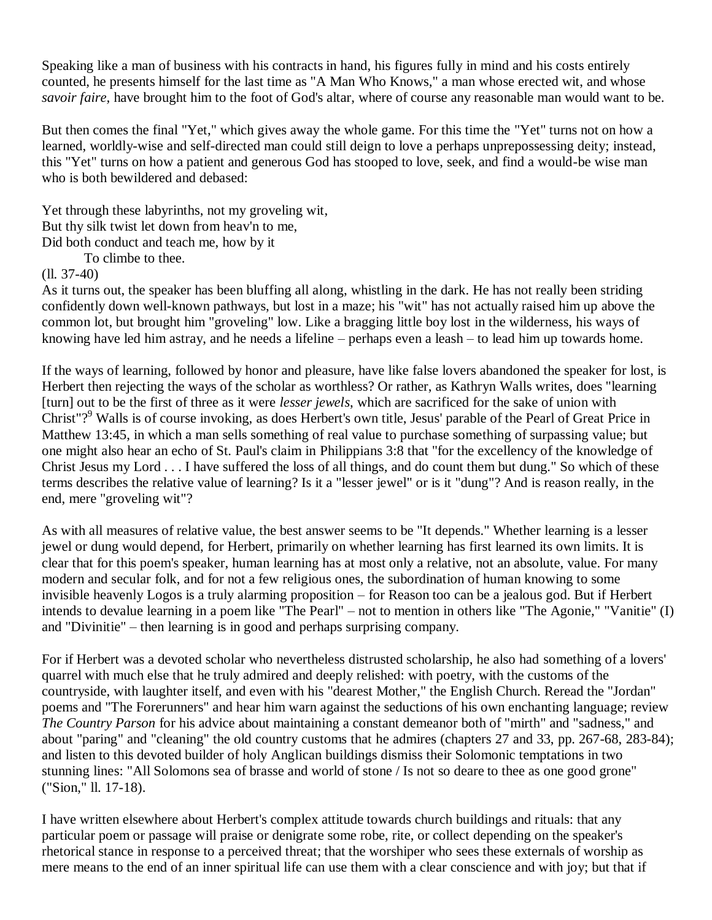Speaking like a man of business with his contracts in hand, his figures fully in mind and his costs entirely counted, he presents himself for the last time as "A Man Who Knows," a man whose erected wit, and whose *savoir faire,* have brought him to the foot of God's altar, where of course any reasonable man would want to be.

But then comes the final "Yet," which gives away the whole game. For this time the "Yet" turns not on how a learned, worldly-wise and self-directed man could still deign to love a perhaps unprepossessing deity; instead, this "Yet" turns on how a patient and generous God has stooped to love, seek, and find a would-be wise man who is both bewildered and debased:

Yet through these labyrinths, not my groveling wit, But thy silk twist let down from heav'n to me, Did both conduct and teach me, how by it

To climbe to thee.

(ll. 37-40)

As it turns out, the speaker has been bluffing all along, whistling in the dark. He has not really been striding confidently down well-known pathways, but lost in a maze; his "wit" has not actually raised him up above the common lot, but brought him "groveling" low. Like a bragging little boy lost in the wilderness, his ways of knowing have led him astray, and he needs a lifeline – perhaps even a leash – to lead him up towards home.

If the ways of learning, followed by honor and pleasure, have like false lovers abandoned the speaker for lost, is Herbert then rejecting the ways of the scholar as worthless? Or rather, as Kathryn Walls writes, does "learning [turn] out to be the first of three as it were *lesser jewels*, which are sacrificed for the sake of union with Christ"?<sup>9</sup> Walls is of course invoking, as does Herbert's own title, Jesus' parable of the Pearl of Great Price in Matthew 13:45, in which a man sells something of real value to purchase something of surpassing value; but one might also hear an echo of St. Paul's claim in Philippians 3:8 that "for the excellency of the knowledge of Christ Jesus my Lord . . . I have suffered the loss of all things, and do count them but dung." So which of these terms describes the relative value of learning? Is it a "lesser jewel" or is it "dung"? And is reason really, in the end, mere "groveling wit"?

As with all measures of relative value, the best answer seems to be "It depends." Whether learning is a lesser jewel or dung would depend, for Herbert, primarily on whether learning has first learned its own limits. It is clear that for this poem's speaker, human learning has at most only a relative, not an absolute, value. For many modern and secular folk, and for not a few religious ones, the subordination of human knowing to some invisible heavenly Logos is a truly alarming proposition – for Reason too can be a jealous god. But if Herbert intends to devalue learning in a poem like "The Pearl" – not to mention in others like "The Agonie," "Vanitie" (I) and "Divinitie" – then learning is in good and perhaps surprising company.

For if Herbert was a devoted scholar who nevertheless distrusted scholarship, he also had something of a lovers' quarrel with much else that he truly admired and deeply relished: with poetry, with the customs of the countryside, with laughter itself, and even with his "dearest Mother," the English Church. Reread the "Jordan" poems and "The Forerunners" and hear him warn against the seductions of his own enchanting language; review *The Country Parson* for his advice about maintaining a constant demeanor both of "mirth" and "sadness," and about "paring" and "cleaning" the old country customs that he admires (chapters 27 and 33, pp. 267-68, 283-84); and listen to this devoted builder of holy Anglican buildings dismiss their Solomonic temptations in two stunning lines: "All Solomons sea of brasse and world of stone / Is not so deare to thee as one good grone" ("Sion," ll. 17-18).

I have written elsewhere about Herbert's complex attitude towards church buildings and rituals: that any particular poem or passage will praise or denigrate some robe, rite, or collect depending on the speaker's rhetorical stance in response to a perceived threat; that the worshiper who sees these externals of worship as mere means to the end of an inner spiritual life can use them with a clear conscience and with joy; but that if